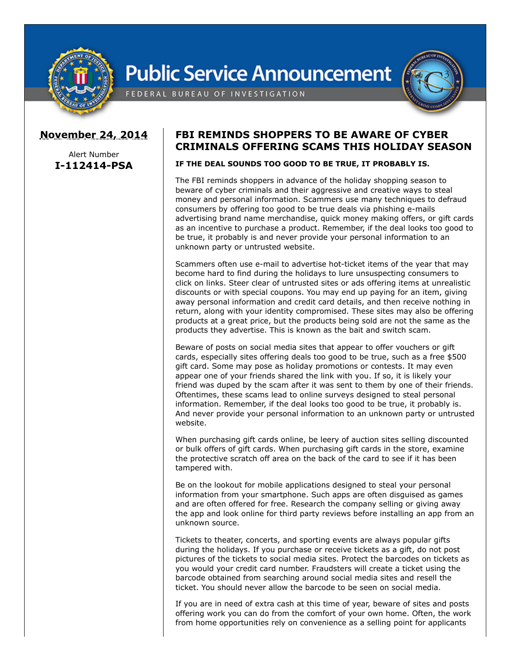

## **Public Service Announcement**





## **November 24, 2014**

Alert Number **I-112414-PSA**

## **FBI REMINDS SHOPPERS TO BE AWARE OF CYBER CRIMINALS OFFERING SCAMS THIS HOLIDAY SEASON**

## **IF THE DEAL SOUNDS TOO GOOD TO BE TRUE, IT PROBABLY IS.**

The FBI reminds shoppers in advance of the holiday shopping season to beware of cyber criminals and their aggressive and creative ways to steal money and personal information. Scammers use many techniques to defraud consumers by offering too good to be true deals via phishing e-mails advertising brand name merchandise, quick money making offers, or gift cards as an incentive to purchase a product. Remember, if the deal looks too good to be true, it probably is and never provide your personal information to an unknown party or untrusted website.

Scammers often use e-mail to advertise hot-ticket items of the year that may become hard to find during the holidays to lure unsuspecting consumers to click on links. Steer clear of untrusted sites or ads offering items at unrealistic discounts or with special coupons. You may end up paying for an item, giving away personal information and credit card details, and then receive nothing in return, along with your identity compromised. These sites may also be offering products at a great price, but the products being sold are not the same as the products they advertise. This is known as the bait and switch scam.

Beware of posts on social media sites that appear to offer vouchers or gift cards, especially sites offering deals too good to be true, such as a free \$500 gift card. Some may pose as holiday promotions or contests. It may even appear one of your friends shared the link with you. If so, it is likely your friend was duped by the scam after it was sent to them by one of their friends. Oftentimes, these scams lead to online surveys designed to steal personal information. Remember, if the deal looks too good to be true, it probably is. And never provide your personal information to an unknown party or untrusted website.

When purchasing gift cards online, be leery of auction sites selling discounted or bulk offers of gift cards. When purchasing gift cards in the store, examine the protective scratch off area on the back of the card to see if it has been tampered with.

Be on the lookout for mobile applications designed to steal your personal information from your smartphone. Such apps are often disguised as games and are often offered for free. Research the company selling or giving away the app and look online for third party reviews before installing an app from an unknown source.

Tickets to theater, concerts, and sporting events are always popular gifts during the holidays. If you purchase or receive tickets as a gift, do not post pictures of the tickets to social media sites. Protect the barcodes on tickets as you would your credit card number. Fraudsters will create a ticket using the barcode obtained from searching around social media sites and resell the ticket. You should never allow the barcode to be seen on social media.

If you are in need of extra cash at this time of year, beware of sites and posts offering work you can do from the comfort of your own home. Often, the work from home opportunities rely on convenience as a selling point for applicants